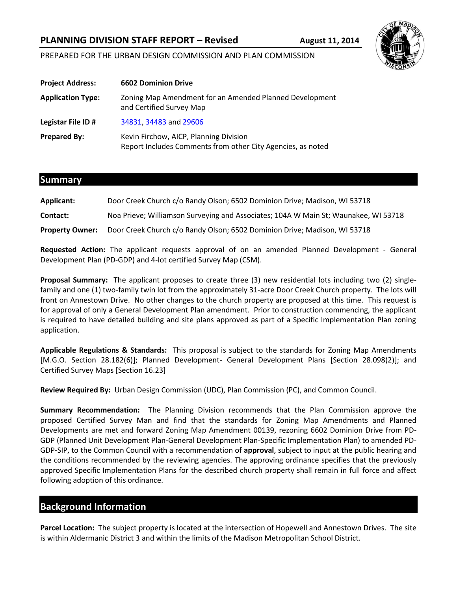# **PLANNING DIVISION STAFF REPORT – Revised August 11, 2014**



# PREPARED FOR THE URBAN DESIGN COMMISSION AND PLAN COMMISSION

| <b>Project Address:</b>  | <b>6602 Dominion Drive</b>                                                                            |
|--------------------------|-------------------------------------------------------------------------------------------------------|
| <b>Application Type:</b> | Zoning Map Amendment for an Amended Planned Development<br>and Certified Survey Map                   |
| Legistar File ID #       | 34831, 34483 and 29606                                                                                |
| <b>Prepared By:</b>      | Kevin Firchow, AICP, Planning Division<br>Report Includes Comments from other City Agencies, as noted |

## **Summary**

| <b>Applicant:</b>      | Door Creek Church c/o Randy Olson; 6502 Dominion Drive; Madison, WI 53718           |
|------------------------|-------------------------------------------------------------------------------------|
| Contact:               | Noa Prieve; Williamson Surveying and Associates; 104A W Main St; Waunakee, WI 53718 |
| <b>Property Owner:</b> | Door Creek Church c/o Randy Olson; 6502 Dominion Drive; Madison, WI 53718           |

**Requested Action:** The applicant requests approval of on an amended Planned Development - General Development Plan (PD-GDP) and 4-lot certified Survey Map (CSM).

**Proposal Summary:** The applicant proposes to create three (3) new residential lots including two (2) singlefamily and one (1) two-family twin lot from the approximately 31-acre Door Creek Church property. The lots will front on Annestown Drive. No other changes to the church property are proposed at this time. This request is for approval of only a General Development Plan amendment. Prior to construction commencing, the applicant is required to have detailed building and site plans approved as part of a Specific Implementation Plan zoning application.

**Applicable Regulations & Standards:** This proposal is subject to the standards for Zoning Map Amendments [M.G.O. Section 28.182(6)]; Planned Development- General Development Plans [Section 28.098(2)]; and Certified Survey Maps [Section 16.23]

**Review Required By:** Urban Design Commission (UDC), Plan Commission (PC), and Common Council.

**Summary Recommendation:** The Planning Division recommends that the Plan Commission approve the proposed Certified Survey Man and find that the standards for Zoning Map Amendments and Planned Developments are met and forward Zoning Map Amendment 00139, rezoning 6602 Dominion Drive from PD-GDP (Planned Unit Development Plan-General Development Plan-Specific Implementation Plan) to amended PD-GDP-SIP, to the Common Council with a recommendation of **approval**, subject to input at the public hearing and the conditions recommended by the reviewing agencies. The approving ordinance specifies that the previously approved Specific Implementation Plans for the described church property shall remain in full force and affect following adoption of this ordinance.

# **Background Information**

**Parcel Location:** The subject property is located at the intersection of Hopewell and Annestown Drives. The site is within Aldermanic District 3 and within the limits of the Madison Metropolitan School District.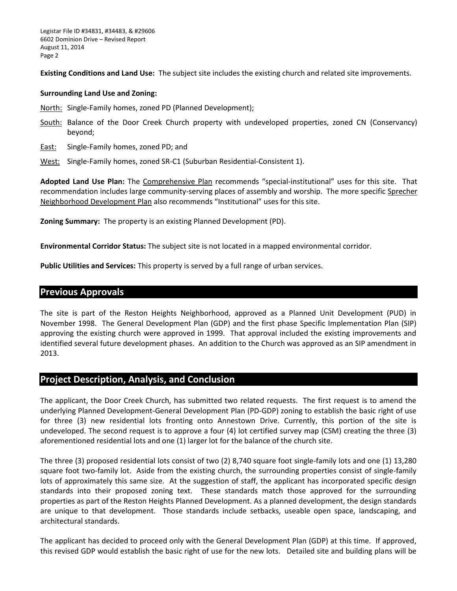**Existing Conditions and Land Use:** The subject site includes the existing church and related site improvements.

#### **Surrounding Land Use and Zoning:**

North: Single-Family homes, zoned PD (Planned Development);

- South: Balance of the Door Creek Church property with undeveloped properties, zoned CN (Conservancy) beyond;
- East: Single-Family homes, zoned PD; and
- West: Single-Family homes, zoned SR-C1 (Suburban Residential-Consistent 1).

**Adopted Land Use Plan:** The Comprehensive Plan recommends "special-institutional" uses for this site. That recommendation includes large community-serving places of assembly and worship. The more specific Sprecher Neighborhood Development Plan also recommends "Institutional" uses for this site.

**Zoning Summary:** The property is an existing Planned Development (PD).

**Environmental Corridor Status:** The subject site is not located in a mapped environmental corridor.

**Public Utilities and Services:** This property is served by a full range of urban services.

# **Previous Approvals**

The site is part of the Reston Heights Neighborhood, approved as a Planned Unit Development (PUD) in November 1998. The General Development Plan (GDP) and the first phase Specific Implementation Plan (SIP) approving the existing church were approved in 1999. That approval included the existing improvements and identified several future development phases. An addition to the Church was approved as an SIP amendment in 2013.

# **Project Description, Analysis, and Conclusion**

The applicant, the Door Creek Church, has submitted two related requests. The first request is to amend the underlying Planned Development-General Development Plan (PD-GDP) zoning to establish the basic right of use for three (3) new residential lots fronting onto Annestown Drive. Currently, this portion of the site is undeveloped. The second request is to approve a four (4) lot certified survey map (CSM) creating the three (3) aforementioned residential lots and one (1) larger lot for the balance of the church site.

The three (3) proposed residential lots consist of two (2) 8,740 square foot single-family lots and one (1) 13,280 square foot two-family lot. Aside from the existing church, the surrounding properties consist of single-family lots of approximately this same size. At the suggestion of staff, the applicant has incorporated specific design standards into their proposed zoning text. These standards match those approved for the surrounding properties as part of the Reston Heights Planned Development. As a planned development, the design standards are unique to that development. Those standards include setbacks, useable open space, landscaping, and architectural standards.

The applicant has decided to proceed only with the General Development Plan (GDP) at this time. If approved, this revised GDP would establish the basic right of use for the new lots. Detailed site and building plans will be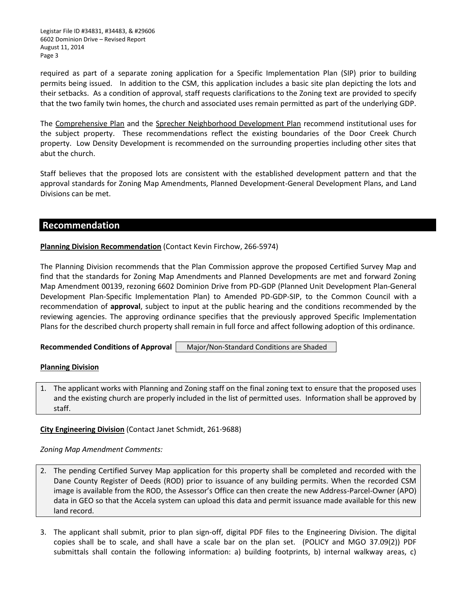Legistar File ID #34831, #34483, & #29606 6602 Dominion Drive – Revised Report August 11, 2014 Page 3

required as part of a separate zoning application for a Specific Implementation Plan (SIP) prior to building permits being issued. In addition to the CSM, this application includes a basic site plan depicting the lots and their setbacks. As a condition of approval, staff requests clarifications to the Zoning text are provided to specify that the two family twin homes, the church and associated uses remain permitted as part of the underlying GDP.

The Comprehensive Plan and the Sprecher Neighborhood Development Plan recommend institutional uses for the subject property. These recommendations reflect the existing boundaries of the Door Creek Church property. Low Density Development is recommended on the surrounding properties including other sites that abut the church.

Staff believes that the proposed lots are consistent with the established development pattern and that the approval standards for Zoning Map Amendments, Planned Development-General Development Plans, and Land Divisions can be met.

## **Recommendation**

# **Planning Division Recommendation** (Contact Kevin Firchow, 266-5974)

The Planning Division recommends that the Plan Commission approve the proposed Certified Survey Map and find that the standards for Zoning Map Amendments and Planned Developments are met and forward Zoning Map Amendment 00139, rezoning 6602 Dominion Drive from PD-GDP (Planned Unit Development Plan-General Development Plan-Specific Implementation Plan) to Amended PD-GDP-SIP, to the Common Council with a recommendation of **approval**, subject to input at the public hearing and the conditions recommended by the reviewing agencies. The approving ordinance specifies that the previously approved Specific Implementation Plans for the described church property shall remain in full force and affect following adoption of this ordinance.

**Recommended Conditions of Approval | Major/Non-Standard Conditions are Shaded.** 

#### **Planning Division**

1. The applicant works with Planning and Zoning staff on the final zoning text to ensure that the proposed uses and the existing church are properly included in the list of permitted uses. Information shall be approved by staff.

#### **City Engineering Division** (Contact Janet Schmidt, 261-9688)

#### *Zoning Map Amendment Comments:*

- 2. The pending Certified Survey Map application for this property shall be completed and recorded with the Dane County Register of Deeds (ROD) prior to issuance of any building permits. When the recorded CSM image is available from the ROD, the Assessor's Office can then create the new Address-Parcel-Owner (APO) data in GEO so that the Accela system can upload this data and permit issuance made available for this new land record.
- 3. The applicant shall submit, prior to plan sign-off, digital PDF files to the Engineering Division. The digital copies shall be to scale, and shall have a scale bar on the plan set. (POLICY and MGO 37.09(2)) PDF submittals shall contain the following information: a) building footprints, b) internal walkway areas, c)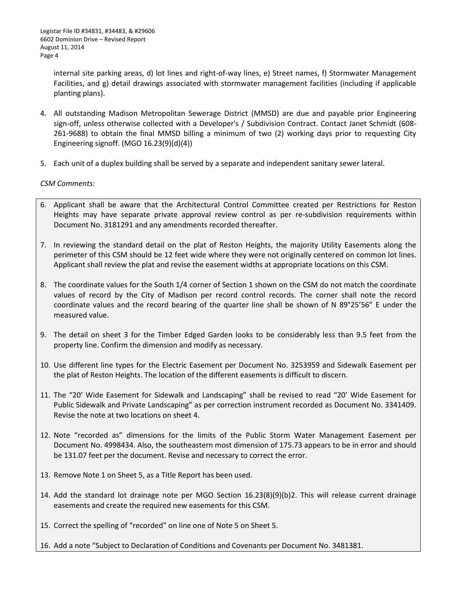internal site parking areas, d) lot lines and right-of-way lines, e) Street names, f) Stormwater Management Facilities, and g) detail drawings associated with stormwater management facilities (including if applicable planting plans).

- 4. All outstanding Madison Metropolitan Sewerage District (MMSD) are due and payable prior Engineering sign-off, unless otherwise collected with a Developer's / Subdivision Contract. Contact Janet Schmidt (608- 261-9688) to obtain the final MMSD billing a minimum of two (2) working days prior to requesting City Engineering signoff. (MGO 16.23(9)(d)(4))
- 5. Each unit of a duplex building shall be served by a separate and independent sanitary sewer lateral.

## *CSM Comments:*

- 6. Applicant shall be aware that the Architectural Control Committee created per Restrictions for Reston Heights may have separate private approval review control as per re-subdivision requirements within Document No. 3181291 and any amendments recorded thereafter.
- 7. In reviewing the standard detail on the plat of Reston Heights, the majority Utility Easements along the perimeter of this CSM should be 12 feet wide where they were not originally centered on common lot lines. Applicant shall review the plat and revise the easement widths at appropriate locations on this CSM.
- 8. The coordinate values for the South 1/4 corner of Section 1 shown on the CSM do not match the coordinate values of record by the City of Madison per record control records. The corner shall note the record coordinate values and the record bearing of the quarter line shall be shown of N 89°25'56" E under the measured value.
- 9. The detail on sheet 3 for the Timber Edged Garden looks to be considerably less than 9.5 feet from the property line. Confirm the dimension and modify as necessary.
- 10. Use different line types for the Electric Easement per Document No. 3253959 and Sidewalk Easement per the plat of Reston Heights. The location of the different easements is difficult to discern.
- 11. The "20' Wide Easement for Sidewalk and Landscaping" shall be revised to read "20' Wide Easement for Public Sidewalk and Private Landscaping" as per correction instrument recorded as Document No. 3341409. Revise the note at two locations on sheet 4.
- 12. Note "recorded as" dimensions for the limits of the Public Storm Water Management Easement per Document No. 4998434. Also, the southeastern most dimension of 175.73 appears to be in error and should be 131.07 feet per the document. Revise and necessary to correct the error.
- 13. Remove Note 1 on Sheet 5, as a Title Report has been used.
- 14. Add the standard lot drainage note per MGO Section 16.23(8)(9)(b)2. This will release current drainage easements and create the required new easements for this CSM.
- 15. Correct the spelling of "recorded" on line one of Note 5 on Sheet 5.
- 16. Add a note "Subject to Declaration of Conditions and Covenants per Document No. 3481381.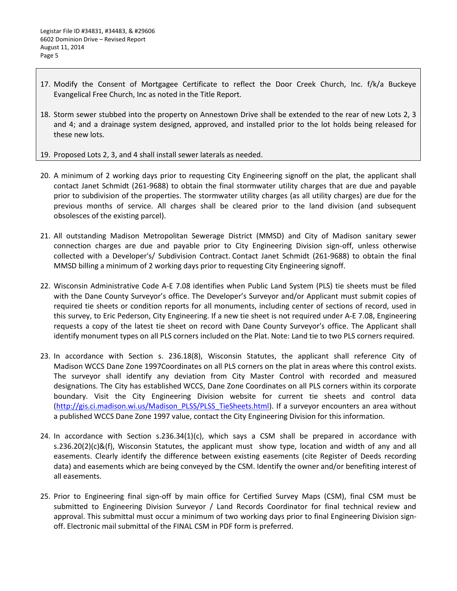- 17. Modify the Consent of Mortgagee Certificate to reflect the Door Creek Church, Inc. f/k/a Buckeye Evangelical Free Church, Inc as noted in the Title Report.
- 18. Storm sewer stubbed into the property on Annestown Drive shall be extended to the rear of new Lots 2, 3 and 4; and a drainage system designed, approved, and installed prior to the lot holds being released for these new lots.
- 19. Proposed Lots 2, 3, and 4 shall install sewer laterals as needed.
- 20. A minimum of 2 working days prior to requesting City Engineering signoff on the plat, the applicant shall contact Janet Schmidt (261-9688) to obtain the final stormwater utility charges that are due and payable prior to subdivision of the properties. The stormwater utility charges (as all utility charges) are due for the previous months of service. All charges shall be cleared prior to the land division (and subsequent obsolesces of the existing parcel).
- 21. All outstanding Madison Metropolitan Sewerage District (MMSD) and City of Madison sanitary sewer connection charges are due and payable prior to City Engineering Division sign-off, unless otherwise collected with a Developer's/ Subdivision Contract. Contact Janet Schmidt (261-9688) to obtain the final MMSD billing a minimum of 2 working days prior to requesting City Engineering signoff.
- 22. Wisconsin Administrative Code A-E 7.08 identifies when Public Land System (PLS) tie sheets must be filed with the Dane County Surveyor's office. The Developer's Surveyor and/or Applicant must submit copies of required tie sheets or condition reports for all monuments, including center of sections of record, used in this survey, to Eric Pederson, City Engineering. If a new tie sheet is not required under A-E 7.08, Engineering requests a copy of the latest tie sheet on record with Dane County Surveyor's office. The Applicant shall identify monument types on all PLS corners included on the Plat. Note: Land tie to two PLS corners required.
- 23. In accordance with Section s. 236.18(8), Wisconsin Statutes, the applicant shall reference City of Madison WCCS Dane Zone 1997Coordinates on all PLS corners on the plat in areas where this control exists. The surveyor shall identify any deviation from City Master Control with recorded and measured designations. The City has established WCCS, Dane Zone Coordinates on all PLS corners within its corporate boundary. Visit the City Engineering Division website for current tie sheets and control data [\(http://gis.ci.madison.wi.us/Madison\\_PLSS/PLSS\\_TieSheets.html\)](http://gis.ci.madison.wi.us/Madison_PLSS/PLSS_TieSheets.html). If a surveyor encounters an area without a published WCCS Dane Zone 1997 value, contact the City Engineering Division for this information.
- 24. In accordance with Section  $s.236.34(1)(c)$ , which says a CSM shall be prepared in accordance with s.236.20(2)(c)&(f), Wisconsin Statutes, the applicant must show type, location and width of any and all easements. Clearly identify the difference between existing easements (cite Register of Deeds recording data) and easements which are being conveyed by the CSM. Identify the owner and/or benefiting interest of all easements.
- 25. Prior to Engineering final sign-off by main office for Certified Survey Maps (CSM), final CSM must be submitted to Engineering Division Surveyor / Land Records Coordinator for final technical review and approval. This submittal must occur a minimum of two working days prior to final Engineering Division signoff. Electronic mail submittal of the FINAL CSM in PDF form is preferred.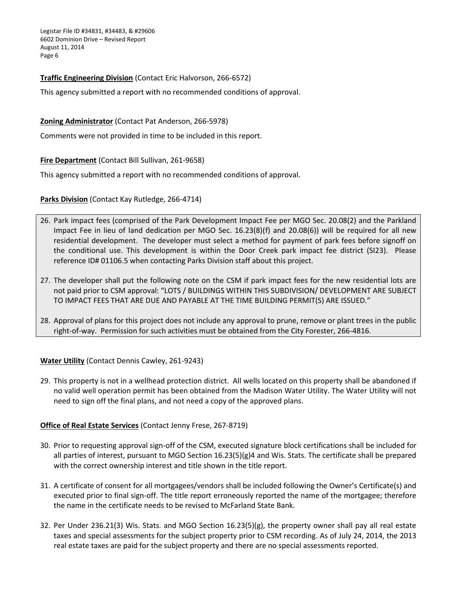Legistar File ID #34831, #34483, & #29606 6602 Dominion Drive – Revised Report August 11, 2014 Page 6

## **Traffic Engineering Division** (Contact Eric Halvorson, 266-6572)

This agency submitted a report with no recommended conditions of approval.

### **Zoning Administrator** (Contact Pat Anderson, 266-5978)

Comments were not provided in time to be included in this report.

#### **Fire Department** (Contact Bill Sullivan, 261-9658)

This agency submitted a report with no recommended conditions of approval.

**Parks Division** (Contact Kay Rutledge, 266-4714)

- 26. Park impact fees (comprised of the Park Development Impact Fee per MGO Sec. 20.08(2) and the Parkland Impact Fee in lieu of land dedication per MGO Sec. 16.23(8)(f) and 20.08(6)) will be required for all new residential development. The developer must select a method for payment of park fees before signoff on the conditional use. This development is within the Door Creek park impact fee district (SI23). Please reference ID# 01106.5 when contacting Parks Division staff about this project.
- 27. The developer shall put the following note on the CSM if park impact fees for the new residential lots are not paid prior to CSM approval: "LOTS / BUILDINGS WITHIN THIS SUBDIVISION/ DEVELOPMENT ARE SUBJECT TO IMPACT FEES THAT ARE DUE AND PAYABLE AT THE TIME BUILDING PERMIT(S) ARE ISSUED."
- 28. Approval of plans for this project does not include any approval to prune, remove or plant trees in the public right-of-way. Permission for such activities must be obtained from the City Forester, 266-4816.

**Water Utility** (Contact Dennis Cawley, 261-9243)

29. This property is not in a wellhead protection district. All wells located on this property shall be abandoned if no valid well operation permit has been obtained from the Madison Water Utility. The Water Utility will not need to sign off the final plans, and not need a copy of the approved plans.

#### **Office of Real Estate Services** (Contact Jenny Frese, 267-8719)

- 30. Prior to requesting approval sign-off of the CSM, executed signature block certifications shall be included for all parties of interest, pursuant to MGO Section 16.23(5)(g)4 and Wis. Stats. The certificate shall be prepared with the correct ownership interest and title shown in the title report.
- 31. A certificate of consent for all mortgagees/vendors shall be included following the Owner's Certificate(s) and executed prior to final sign-off. The title report erroneously reported the name of the mortgagee; therefore the name in the certificate needs to be revised to McFarland State Bank.
- 32. Per Under 236.21(3) Wis. Stats. and MGO Section 16.23(5)(g), the property owner shall pay all real estate taxes and special assessments for the subject property prior to CSM recording. As of July 24, 2014, the 2013 real estate taxes are paid for the subject property and there are no special assessments reported.